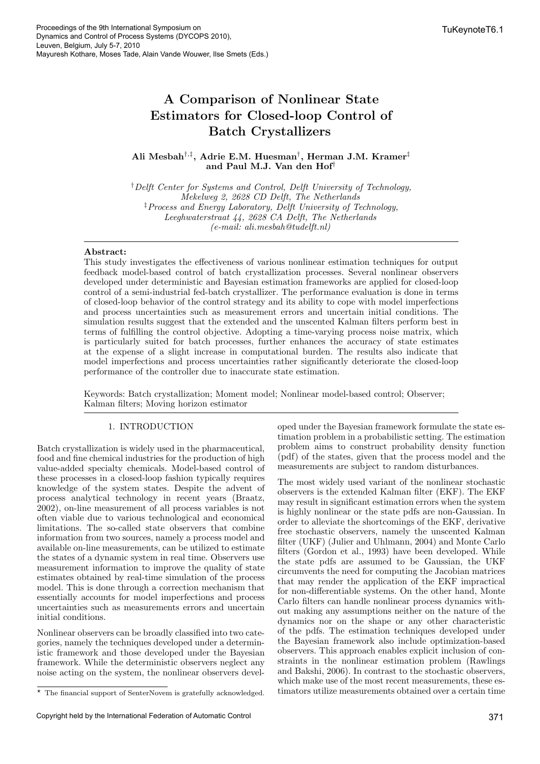# A Comparison of Nonlinear State Estimators for Closed-loop Control of Batch Crystallizers

Ali Mesbah $^{\dagger,\ddagger},$  Adrie E.M. Huesman $^{\dagger},$  Herman J.M. Kramer $^{\ddagger}$ and Paul M.J. Van den Hof †

†Delft Center for Systems and Control, Delft University of Technology, Mekelweg 2, 2628 CD Delft, The Netherlands ‡Process and Energy Laboratory, Delft University of Technology, Leeghwaterstraat 44, 2628 CA Delft, The Netherlands (e-mail: ali.mesbah@tudelft.nl)

# Abstract:

This study investigates the effectiveness of various nonlinear estimation techniques for output feedback model-based control of batch crystallization processes. Several nonlinear observers developed under deterministic and Bayesian estimation frameworks are applied for closed-loop control of a semi-industrial fed-batch crystallizer. The performance evaluation is done in terms of closed-loop behavior of the control strategy and its ability to cope with model imperfections and process uncertainties such as measurement errors and uncertain initial conditions. The simulation results suggest that the extended and the unscented Kalman filters perform best in terms of fulfilling the control objective. Adopting a time-varying process noise matrix, which is particularly suited for batch processes, further enhances the accuracy of state estimates at the expense of a slight increase in computational burden. The results also indicate that model imperfections and process uncertainties rather significantly deteriorate the closed-loop performance of the controller due to inaccurate state estimation.

Keywords: Batch crystallization; Moment model; Nonlinear model-based control; Observer; Kalman filters; Moving horizon estimator

# 1. INTRODUCTION

Batch crystallization is widely used in the pharmaceutical, food and fine chemical industries for the production of high value-added specialty chemicals. Model-based control of these processes in a closed-loop fashion typically requires knowledge of the system states. Despite the advent of process analytical technology in recent years (Braatz, 2002), on-line measurement of all process variables is not often viable due to various technological and economical limitations. The so-called state observers that combine information from two sources, namely a process model and available on-line measurements, can be utilized to estimate the states of a dynamic system in real time. Observers use measurement information to improve the quality of state estimates obtained by real-time simulation of the process model. This is done through a correction mechanism that essentially accounts for model imperfections and process uncertainties such as measurements errors and uncertain initial conditions.

Nonlinear observers can be broadly classified into two categories, namely the techniques developed under a deterministic framework and those developed under the Bayesian framework. While the deterministic observers neglect any noise acting on the system, the nonlinear observers developed under the Bayesian framework formulate the state estimation problem in a probabilistic setting. The estimation problem aims to construct probability density function (pdf) of the states, given that the process model and the measurements are subject to random disturbances.

The most widely used variant of the nonlinear stochastic observers is the extended Kalman filter (EKF). The EKF may result in significant estimation errors when the system is highly nonlinear or the state pdfs are non-Gaussian. In order to alleviate the shortcomings of the EKF, derivative free stochastic observers, namely the unscented Kalman filter (UKF) (Julier and Uhlmann, 2004) and Monte Carlo filters (Gordon et al., 1993) have been developed. While the state pdfs are assumed to be Gaussian, the UKF circumvents the need for computing the Jacobian matrices that may render the application of the EKF impractical for non-differentiable systems. On the other hand, Monte Carlo filters can handle nonlinear process dynamics without making any assumptions neither on the nature of the dynamics nor on the shape or any other characteristic of the pdfs. The estimation techniques developed under the Bayesian framework also include optimization-based observers. This approach enables explicit inclusion of constraints in the nonlinear estimation problem (Rawlings and Bakshi, 2006). In contrast to the stochastic observers, which make use of the most recent measurements, these estimators utilize measurements obtained over a certain time

<sup>⋆</sup> The financial support of SenterNovem is gratefully acknowledged.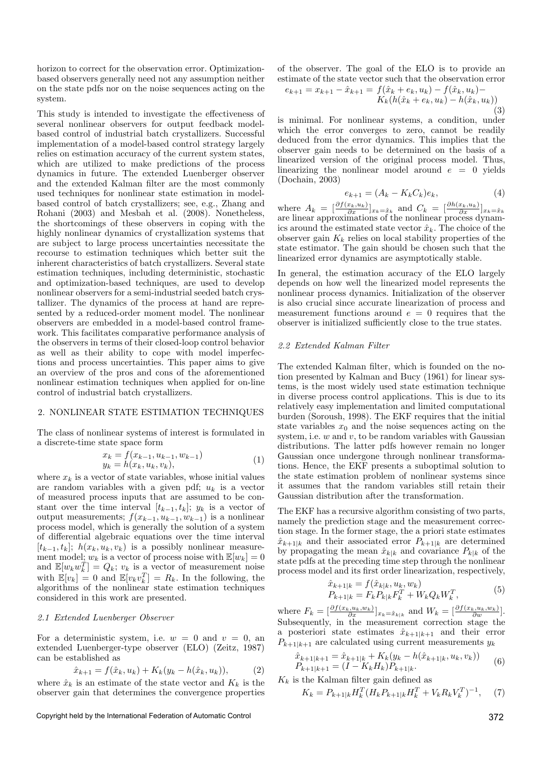horizon to correct for the observation error. Optimizationbased observers generally need not any assumption neither on the state pdfs nor on the noise sequences acting on the system.

This study is intended to investigate the effectiveness of several nonlinear observers for output feedback modelbased control of industrial batch crystallizers. Successful implementation of a model-based control strategy largely relies on estimation accuracy of the current system states, which are utilized to make predictions of the process dynamics in future. The extended Luenberger observer and the extended Kalman filter are the most commonly used techniques for nonlinear state estimation in modelbased control of batch crystallizers; see, e.g., Zhang and Rohani (2003) and Mesbah et al. (2008). Nonetheless, the shortcomings of these observers in coping with the highly nonlinear dynamics of crystallization systems that are subject to large process uncertainties necessitate the recourse to estimation techniques which better suit the inherent characteristics of batch crystallizers. Several state estimation techniques, including deterministic, stochastic and optimization-based techniques, are used to develop nonlinear observers for a semi-industrial seeded batch crystallizer. The dynamics of the process at hand are represented by a reduced-order moment model. The nonlinear observers are embedded in a model-based control framework. This facilitates comparative performance analysis of the observers in terms of their closed-loop control behavior as well as their ability to cope with model imperfections and process uncertainties. This paper aims to give an overview of the pros and cons of the aforementioned nonlinear estimation techniques when applied for on-line control of industrial batch crystallizers.

## 2. NONLINEAR STATE ESTIMATION TECHNIQUES

The class of nonlinear systems of interest is formulated in a discrete-time state space form

$$
x_k = f(x_{k-1}, u_{k-1}, w_{k-1})
$$
  
\n
$$
y_k = h(x_k, u_k, v_k),
$$
\n(1)

where  $x_k$  is a vector of state variables, whose initial values are random variables with a given pdf;  $u_k$  is a vector of measured process inputs that are assumed to be constant over the time interval  $[t_{k-1}, t_k]$ ;  $y_k$  is a vector of output measurements;  $f(x_{k-1}, u_{k-1}, w_{k-1})$  is a nonlinear process model, which is generally the solution of a system of differential algebraic equations over the time interval  $[t_{k-1}, t_k]; h(x_k, u_k, v_k)$  is a possibly nonlinear measurement model;  $w_k$  is a vector of process noise with  $\mathbb{E}[w_k] = 0$ and  $\mathbb{E}[w_k w_k^T] = Q_k$ ;  $v_k$  is a vector of measurement noise with  $\mathbb{E}[v_k] = 0$  and  $\mathbb{E}[v_k v_k^T] = R_k$ . In the following, the algorithms of the nonlinear state estimation techniques considered in this work are presented.

#### 2.1 Extended Luenberger Observer

For a deterministic system, i.e.  $w = 0$  and  $v = 0$ , and extended Luenberger-type observer (ELO) (Zeitz, 1987) can be established as

$$
\hat{x}_{k+1} = f(\hat{x}_k, u_k) + K_k(y_k - h(\hat{x}_k, u_k)), \tag{2}
$$

where  $\hat{x}_k$  is an estimate of the state vector and  $K_k$  is the observer gain that determines the convergence properties

of the observer. The goal of the ELO is to provide an estimate of the state vector such that the observation error

$$
e_{k+1} = x_{k+1} - \hat{x}_{k+1} = f(\hat{x}_k + e_k, u_k) - f(\hat{x}_k, u_k) - K_k(h(\hat{x}_k + e_k, u_k) - h(\hat{x}_k, u_k))
$$
\n(3)

is minimal. For nonlinear systems, a condition, under which the error converges to zero, cannot be readily deduced from the error dynamics. This implies that the observer gain needs to be determined on the basis of a linearized version of the original process model. Thus, linearizing the nonlinear model around  $e = 0$  yields (Dochain, 2003)

$$
e_{k+1} = (A_k - K_k C_k)e_k, \tag{4}
$$

where  $A_k = \left[\frac{\partial f(x_k, u_k)}{\partial x}\right]$  $\frac{\partial x_k, u_k}{\partial x}\big]_{x_k=\hat{x}_k}$  and  $C_k = \left[\frac{\partial h(x_k, u_k)}{\partial x}\right]$  $\frac{x_k, u_k)}{\partial x}$ <sub>xk</sub>= $\hat{x}_k$ are linear approximations of the nonlinear process dynamics around the estimated state vector  $\hat{x}_k$ . The choice of the observer gain  $K_k$  relies on local stability properties of the state estimator. The gain should be chosen such that the linearized error dynamics are asymptotically stable.

In general, the estimation accuracy of the ELO largely depends on how well the linearized model represents the nonlinear process dynamics. Initialization of the observer is also crucial since accurate linearization of process and measurement functions around  $e = 0$  requires that the observer is initialized sufficiently close to the true states.

#### 2.2 Extended Kalman Filter

The extended Kalman filter, which is founded on the notion presented by Kalman and Bucy (1961) for linear systems, is the most widely used state estimation technique in diverse process control applications. This is due to its relatively easy implementation and limited computational burden (Soroush, 1998). The EKF requires that the initial state variables  $x_0$  and the noise sequences acting on the system, i.e.  $w$  and  $v$ , to be random variables with Gaussian distributions. The latter pdfs however remain no longer Gaussian once undergone through nonlinear transformations. Hence, the EKF presents a suboptimal solution to the state estimation problem of nonlinear systems since it assumes that the random variables still retain their Gaussian distribution after the transformation.

The EKF has a recursive algorithm consisting of two parts, namely the prediction stage and the measurement correction stage. In the former stage, the a priori state estimates  $\hat{x}_{k+1|k}$  and their associated error  $P_{k+1|k}$  are determined by propagating the mean  $\hat{x}_{k|k}$  and covariance  $P_{k|k}$  of the state pdfs at the preceding time step through the nonlinear process model and its first order linearization, respectively,

$$
\hat{x}_{k+1|k} = f(\hat{x}_{k|k}, u_k, w_k) \nP_{k+1|k} = F_k P_{k|k} F_k^T + W_k Q_k W_k^T,
$$
\n(5)

where  $F_k = \left[\frac{\partial f(x_k, u_k, w_k)}{\partial x}\right]$  $[\frac{\partial x}{\partial x}]_{x_k = \hat{x}_{k|k}}$  and  $W_k = [\frac{\partial f(x_k, u_k, w_k)}{\partial w}]$  $\frac{\partial_{\varepsilon},u_k,w_k\omega}{\partial w}$ . Subsequently, in the measurement correction stage the a posteriori state estimates  $\hat{x}_{k+1|k+1}$  and their error  $P_{k+1|k+1}$  are calculated using current measurements  $y_k$ 

$$
\hat{x}_{k+1|k+1} = \hat{x}_{k+1|k} + K_k(y_k - h(\hat{x}_{k+1|k}, u_k, v_k)) \nP_{k+1|k+1} = (I - K_k H_k) P_{k+1|k}.
$$
\n(6)

 $K_k$  is the Kalman filter gain defined as

$$
K_k = P_{k+1|k} H_k^T (H_k P_{k+1|k} H_k^T + V_k R_k V_k^T)^{-1}, \quad (7)
$$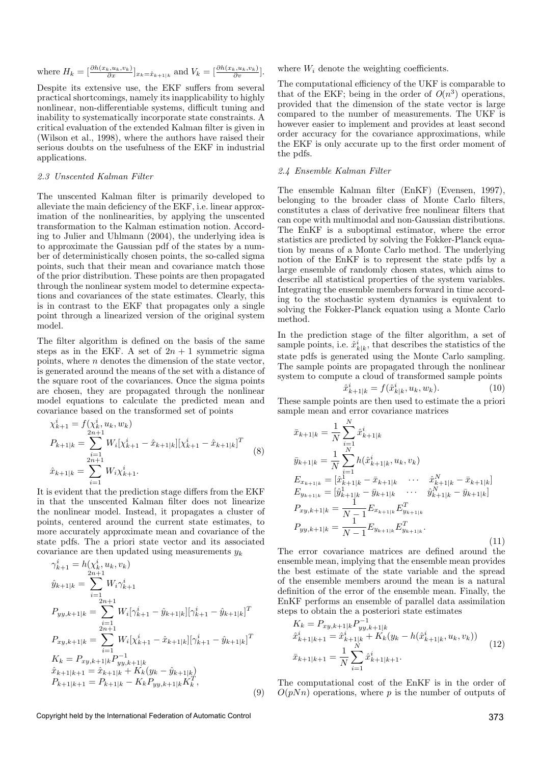where 
$$
H_k = \left[\frac{\partial h(x_k, u_k, v_k)}{\partial x}\right]_{x_k = \hat{x}_{k+1|k}}
$$
 and  $V_k = \left[\frac{\partial h(x_k, u_k, v_k)}{\partial v}\right]$ .

Despite its extensive use, the EKF suffers from several practical shortcomings, namely its inapplicability to highly nonlinear, non-differentiable systems, difficult tuning and inability to systematically incorporate state constraints. A critical evaluation of the extended Kalman filter is given in (Wilson et al., 1998), where the authors have raised their serious doubts on the usefulness of the EKF in industrial applications.

## 2.3 Unscented Kalman Filter

The unscented Kalman filter is primarily developed to alleviate the main deficiency of the EKF, i.e. linear approximation of the nonlinearities, by applying the unscented transformation to the Kalman estimation notion. According to Julier and Uhlmann (2004), the underlying idea is to approximate the Gaussian pdf of the states by a number of deterministically chosen points, the so-called sigma points, such that their mean and covariance match those of the prior distribution. These points are then propagated through the nonlinear system model to determine expectations and covariances of the state estimates. Clearly, this is in contrast to the EKF that propagates only a single point through a linearized version of the original system model.

The filter algorithm is defined on the basis of the same steps as in the EKF. A set of  $2n + 1$  symmetric sigma points, where  $n$  denotes the dimension of the state vector, is generated around the means of the set with a distance of the square root of the covariances. Once the sigma points are chosen, they are propagated through the nonlinear model equations to calculate the predicted mean and covariance based on the transformed set of points

$$
\chi_{k+1}^{i} = f(\chi_{k}^{i}, u_{k}, w_{k})
$$
\n
$$
P_{k+1|k} = \sum_{\substack{i=1 \ i=1}}^{2n+1} W_{i}[\chi_{k+1}^{i} - \hat{x}_{k+1|k}][\chi_{k+1}^{i} - \hat{x}_{k+1|k}]^{T}
$$
\n
$$
\hat{x}_{k+1|k} = \sum_{i=1}^{2n+1} W_{i}\chi_{k+1}^{i}.
$$
\n(8)

It is evident that the prediction stage differs from the EKF in that the unscented Kalman filter does not linearize the nonlinear model. Instead, it propagates a cluster of points, centered around the current state estimates, to more accurately approximate mean and covariance of the state pdfs. The a priori state vector and its associated covariance are then updated using measurements  $y_k$ 

$$
\gamma_{k+1}^{i} = h(\chi_{k}^{i}, u_{k}, v_{k})
$$
\n
$$
\hat{y}_{k+1|k} = \sum_{i=1}^{2n+1} W_{i} \gamma_{k+1}^{i}
$$
\n
$$
P_{yy,k+1|k} = \sum_{i=1}^{2n+1} W_{i} [\gamma_{k+1}^{i} - \hat{y}_{k+1|k}] [\gamma_{k+1}^{i} - \hat{y}_{k+1|k}]^{T}
$$
\n
$$
P_{xy,k+1|k} = \sum_{i=1}^{2n+1} W_{i} [\chi_{k+1}^{i} - \hat{x}_{k+1|k}] [\gamma_{k+1}^{i} - \hat{y}_{k+1|k}]^{T}
$$
\n
$$
K_{k} = P_{xy,k+1|k} P_{yy,k+1|k}^{-1}
$$
\n
$$
\hat{x}_{k+1|k+1} = \hat{x}_{k+1|k} + K_{k}(y_{k} - \hat{y}_{k+1|k})
$$
\n
$$
P_{k+1|k+1} = P_{k+1|k} - K_{k} P_{yy,k+1|k} K_{k}^{T},
$$
\n(9)

Copyright held by the International Federation of Automatic Control 373

where  $W_i$  denote the weighting coefficients.

The computational efficiency of the UKF is comparable to that of the EKF; being in the order of  $O(n^3)$  operations, provided that the dimension of the state vector is large compared to the number of measurements. The UKF is however easier to implement and provides at least second order accuracy for the covariance approximations, while the EKF is only accurate up to the first order moment of the pdfs.

#### 2.4 Ensemble Kalman Filter

The ensemble Kalman filter (EnKF) (Evensen, 1997), belonging to the broader class of Monte Carlo filters, constitutes a class of derivative free nonlinear filters that can cope with multimodal and non-Gaussian distributions. The EnKF is a suboptimal estimator, where the error statistics are predicted by solving the Fokker-Planck equation by means of a Monte Carlo method. The underlying notion of the EnKF is to represent the state pdfs by a large ensemble of randomly chosen states, which aims to describe all statistical properties of the system variables. Integrating the ensemble members forward in time according to the stochastic system dynamics is equivalent to solving the Fokker-Planck equation using a Monte Carlo method.

In the prediction stage of the filter algorithm, a set of sample points, i.e.  $\hat{x}_{k|k}^i$ , that describes the statistics of the state pdfs is generated using the Monte Carlo sampling. The sample points are propagated through the nonlinear system to compute a cloud of transformed sample points

$$
\hat{x}_{k+1|k}^i = f(\hat{x}_{k|k}^i, u_k, w_k). \tag{10}
$$

These sample points are then used to estimate the a priori sample mean and error covariance matrices

$$
\bar{x}_{k+1|k} = \frac{1}{N} \sum_{i=1}^{N} \hat{x}_{k+1|k}^{i}
$$
\n
$$
\bar{y}_{k+1|k} = \frac{1}{N} \sum_{i=1}^{N} h(\hat{x}_{k+1|k}^{i}, u_k, v_k)
$$
\n
$$
E_{x_{k+1|k}} = [\hat{x}_{k+1|k}^{1} - \bar{x}_{k+1|k} \cdots \hat{x}_{k+1|k}^{N} - \bar{x}_{k+1|k}]
$$
\n
$$
E_{y_{k+1|k}} = [\hat{y}_{k+1|k}^{1} - \bar{y}_{k+1|k} \cdots \hat{y}_{k+1|k}^{N} - \bar{y}_{k+1|k}]
$$
\n
$$
P_{xy,k+1|k} = \frac{1}{N-1} E_{x_{k+1|k}} E_{y_{k+1|k}}^{T}
$$
\n
$$
P_{yy,k+1|k} = \frac{1}{N-1} E_{y_{k+1|k}} E_{y_{k+1|k}}^{T}
$$
\n(11)

The error covariance matrices are defined around the ensemble mean, implying that the ensemble mean provides the best estimate of the state variable and the spread of the ensemble members around the mean is a natural definition of the error of the ensemble mean. Finally, the EnKF performs an ensemble of parallel data assimilation steps to obtain the a posteriori state estimates

$$
K_k = P_{xy,k+1|k} P_{yy,k+1|k}^{-1}
$$
  
\n
$$
\hat{x}_{k+1|k+1}^i = \hat{x}_{k+1|k}^i + K_k(y_k - h(\hat{x}_{k+1|k}^i, u_k, v_k))
$$
  
\n
$$
\bar{x}_{k+1|k+1} = \frac{1}{N} \sum_{i=1}^N \hat{x}_{k+1|k+1}^i.
$$
\n(12)

The computational cost of the EnKF is in the order of  $O(pNn)$  operations, where p is the number of outputs of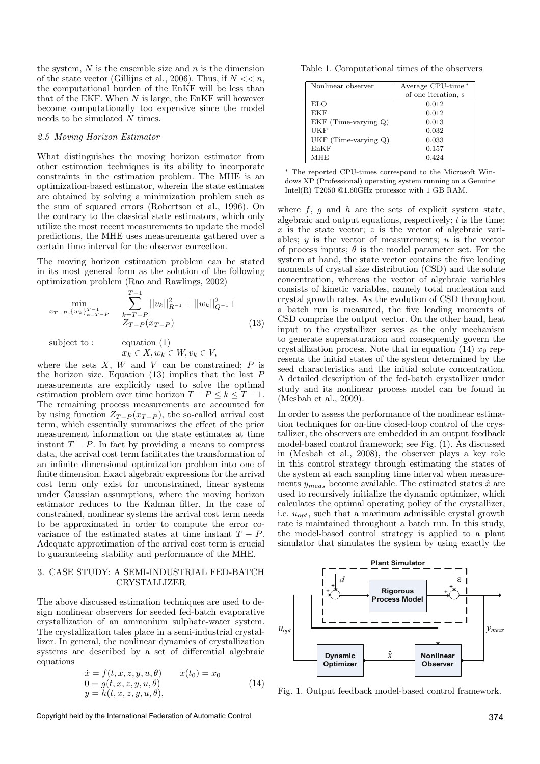the system,  $N$  is the ensemble size and  $n$  is the dimension of the state vector (Gillijns et al., 2006). Thus, if  $N \ll n$ , the computational burden of the EnKF will be less than that of the EKF. When  $N$  is large, the EnKF will however become computationally too expensive since the model needs to be simulated N times.

### 2.5 Moving Horizon Estimator

What distinguishes the moving horizon estimator from other estimation techniques is its ability to incorporate constraints in the estimation problem. The MHE is an optimization-based estimator, wherein the state estimates are obtained by solving a minimization problem such as the sum of squared errors (Robertson et al., 1996). On the contrary to the classical state estimators, which only utilize the most recent measurements to update the model predictions, the MHE uses measurements gathered over a certain time interval for the observer correction.

The moving horizon estimation problem can be stated in its most general form as the solution of the following optimization problem (Rao and Rawlings, 2002)

$$
\min_{x_{T-P}, \{w_k\}_{k=T-P}} \sum_{k=T-P}^{T-1} ||v_k||_{R^{-1}}^2 + ||w_k||_{Q^{-1}}^2 + \sum_{Z_{T-P}(x_{T-P})}^{T-1} (13)
$$

subject to : equation  $(1)$ 

$$
x_k \in X, w_k \in W, v_k \in V,
$$

where the sets  $X$ ,  $W$  and  $V$  can be constrained;  $P$  is the horizon size. Equation  $(13)$  implies that the last  $P$ measurements are explicitly used to solve the optimal estimation problem over time horizon  $T - P \leq k \leq T - 1$ . The remaining process measurements are accounted for by using function  $Z_{T-p}(x_{T-p})$ , the so-called arrival cost term, which essentially summarizes the effect of the prior measurement information on the state estimates at time instant  $T - P$ . In fact by providing a means to compress data, the arrival cost term facilitates the transformation of an infinite dimensional optimization problem into one of finite dimension. Exact algebraic expressions for the arrival cost term only exist for unconstrained, linear systems under Gaussian assumptions, where the moving horizon estimator reduces to the Kalman filter. In the case of constrained, nonlinear systems the arrival cost term needs to be approximated in order to compute the error covariance of the estimated states at time instant  $T - P$ . Adequate approximation of the arrival cost term is crucial to guaranteeing stability and performance of the MHE.

# 3. CASE STUDY: A SEMI-INDUSTRIAL FED-BATCH CRYSTALLIZER

The above discussed estimation techniques are used to design nonlinear observers for seeded fed-batch evaporative crystallization of an ammonium sulphate-water system. The crystallization tales place in a semi-industrial crystallizer. In general, the nonlinear dynamics of crystallization systems are described by a set of differential algebraic equations

$$
\begin{array}{ll}\n\dot{x} = f(t, x, z, y, u, \theta) & x(t_0) = x_0 \\
0 = g(t, x, z, y, u, \theta) & y = h(t, x, z, y, u, \theta),\n\end{array} \tag{14}
$$

Copyright held by the International Federation of Automatic Control 374

Table 1. Computational times of the observers

| Nonlinear observer     | Average CPU-time*   |
|------------------------|---------------------|
|                        | of one iteration, s |
| ELO                    | 0.012               |
| <b>EKF</b>             | 0.012               |
| $EKF$ (Time-varying Q) | 0.013               |
| UKF                    | 0.032               |
| UKF $(Time-varying Q)$ | 0.033               |
| EnKF                   | 0.157               |
| MHE                    | 0.424               |

<sup>∗</sup> The reported CPU-times correspond to the Microsoft Windows XP (Professional) operating system running on a Genuine Intel(R) T2050 @1.60GHz processor with 1 GB RAM.

where  $f, g$  and  $h$  are the sets of explicit system state, algebraic and output equations, respectively;  $t$  is the time;  $x$  is the state vector;  $z$  is the vector of algebraic variables;  $y$  is the vector of measurements;  $u$  is the vector of process inputs;  $\theta$  is the model parameter set. For the system at hand, the state vector contains the five leading moments of crystal size distribution (CSD) and the solute concentration, whereas the vector of algebraic variables consists of kinetic variables, namely total nucleation and crystal growth rates. As the evolution of CSD throughout a batch run is measured, the five leading moments of CSD comprise the output vector. On the other hand, heat input to the crystallizer serves as the only mechanism to generate supersaturation and consequently govern the crystallization process. Note that in equation (14)  $x_0$  represents the initial states of the system determined by the seed characteristics and the initial solute concentration. A detailed description of the fed-batch crystallizer under study and its nonlinear process model can be found in (Mesbah et al., 2009).

In order to assess the performance of the nonlinear estimation techniques for on-line closed-loop control of the crystallizer, the observers are embedded in an output feedback model-based control framework; see Fig. (1). As discussed in (Mesbah et al., 2008), the observer plays a key role in this control strategy through estimating the states of the system at each sampling time interval when measurements  $y_{meas}$  become available. The estimated states  $\hat{x}$  are used to recursively initialize the dynamic optimizer, which calculates the optimal operating policy of the crystallizer, i.e.  $u_{opt}$ , such that a maximum admissible crystal growth rate is maintained throughout a batch run. In this study, the model-based control strategy is applied to a plant simulator that simulates the system by using exactly the



Fig. 1. Output feedback model-based control framework.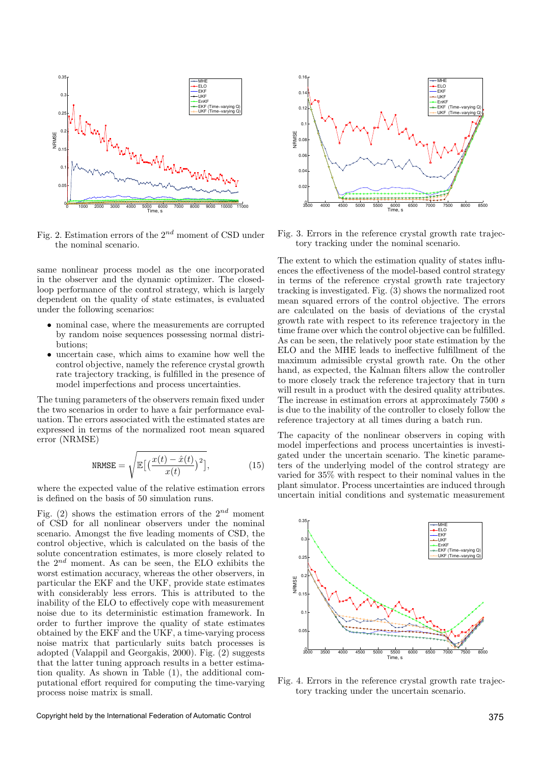

Fig. 2. Estimation errors of the  $2^{nd}$  moment of CSD under the nominal scenario.

same nonlinear process model as the one incorporated in the observer and the dynamic optimizer. The closedloop performance of the control strategy, which is largely dependent on the quality of state estimates, is evaluated under the following scenarios:

- nominal case, where the measurements are corrupted by random noise sequences possessing normal distributions;
- uncertain case, which aims to examine how well the control objective, namely the reference crystal growth rate trajectory tracking, is fulfilled in the presence of model imperfections and process uncertainties.

The tuning parameters of the observers remain fixed under the two scenarios in order to have a fair performance evaluation. The errors associated with the estimated states are expressed in terms of the normalized root mean squared error (NRMSE)

$$
NRMSE = \sqrt{\mathbb{E}\left[\left(\frac{x(t) - \hat{x}(t)}{x(t)}\right)^2\right]},
$$
\n(15)

where the expected value of the relative estimation errors is defined on the basis of 50 simulation runs.

Fig. (2) shows the estimation errors of the  $2^{nd}$  moment of CSD for all nonlinear observers under the nominal scenario. Amongst the five leading moments of CSD, the control objective, which is calculated on the basis of the solute concentration estimates, is more closely related to the  $2^{nd}$  moment. As can be seen, the ELO exhibits the worst estimation accuracy, whereas the other observers, in particular the EKF and the UKF, provide state estimates with considerably less errors. This is attributed to the inability of the ELO to effectively cope with measurement noise due to its deterministic estimation framework. In order to further improve the quality of state estimates obtained by the EKF and the UKF, a time-varying process noise matrix that particularly suits batch processes is adopted (Valappil and Georgakis, 2000). Fig. (2) suggests that the latter tuning approach results in a better estimation quality. As shown in Table (1), the additional computational effort required for computing the time-varying process noise matrix is small.



Fig. 3. Errors in the reference crystal growth rate trajectory tracking under the nominal scenario.

The extent to which the estimation quality of states influences the effectiveness of the model-based control strategy in terms of the reference crystal growth rate trajectory tracking is investigated. Fig. (3) shows the normalized root mean squared errors of the control objective. The errors are calculated on the basis of deviations of the crystal growth rate with respect to its reference trajectory in the time frame over which the control objective can be fulfilled. As can be seen, the relatively poor state estimation by the ELO and the MHE leads to ineffective fulfillment of the maximum admissible crystal growth rate. On the other hand, as expected, the Kalman filters allow the controller to more closely track the reference trajectory that in turn will result in a product with the desired quality attributes. The increase in estimation errors at approximately 7500 s is due to the inability of the controller to closely follow the reference trajectory at all times during a batch run.

The capacity of the nonlinear observers in coping with model imperfections and process uncertainties is investigated under the uncertain scenario. The kinetic parameters of the underlying model of the control strategy are varied for 35% with respect to their nominal values in the plant simulator. Process uncertainties are induced through uncertain initial conditions and systematic measurement



Fig. 4. Errors in the reference crystal growth rate trajectory tracking under the uncertain scenario.